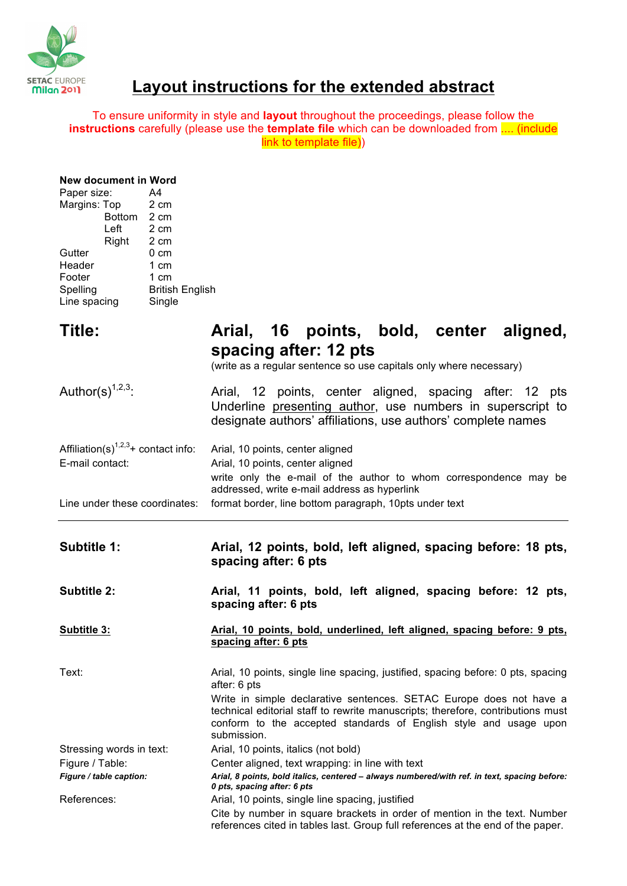

## **Layout instructions for the extended abstract**

To ensure uniformity in style and **layout** throughout the proceedings, please follow the **instructions** carefully (please use the **template file** which can be downloaded from .... (include link to template file))

| <b>New document in Word</b> |
|-----------------------------|
| A4                          |
| 2 cm                        |
| Bottom 2 cm                 |
| 2 cm                        |
| 2 cm                        |
| $0 \text{ cm}$              |
| 1 cm                        |
| 1 cm                        |
| <b>British English</b>      |
| Single                      |
|                             |

| Title:                                                                          | Arial, 16 points, bold, center aligned,<br>spacing after: 12 pts<br>(write as a regular sentence so use capitals only where necessary)                                                                                                     |
|---------------------------------------------------------------------------------|--------------------------------------------------------------------------------------------------------------------------------------------------------------------------------------------------------------------------------------------|
| Author(s) $1,2,3$ .                                                             | Arial, 12 points, center aligned, spacing after: 12 pts<br>Underline presenting author, use numbers in superscript to<br>designate authors' affiliations, use authors' complete names                                                      |
| Affiliation(s) <sup><math>1,2,3</math></sup> + contact info:<br>E-mail contact: | Arial, 10 points, center aligned<br>Arial, 10 points, center aligned<br>write only the e-mail of the author to whom correspondence may be<br>addressed, write e-mail address as hyperlink                                                  |
| Line under these coordinates:                                                   | format border, line bottom paragraph, 10pts under text                                                                                                                                                                                     |
| <b>Subtitle 1:</b>                                                              | Arial, 12 points, bold, left aligned, spacing before: 18 pts,<br>spacing after: 6 pts                                                                                                                                                      |
|                                                                                 |                                                                                                                                                                                                                                            |
| <b>Subtitle 2:</b>                                                              | Arial, 11 points, bold, left aligned, spacing before: 12 pts,<br>spacing after: 6 pts                                                                                                                                                      |
| <b>Subtitle 3:</b>                                                              | Arial, 10 points, bold, underlined, left aligned, spacing before: 9 pts,<br>spacing after: 6 pts                                                                                                                                           |
| Text:                                                                           | Arial, 10 points, single line spacing, justified, spacing before: 0 pts, spacing<br>after: 6 pts                                                                                                                                           |
|                                                                                 | Write in simple declarative sentences. SETAC Europe does not have a<br>technical editorial staff to rewrite manuscripts; therefore, contributions must<br>conform to the accepted standards of English style and usage upon<br>submission. |
| Stressing words in text:                                                        | Arial, 10 points, italics (not bold)                                                                                                                                                                                                       |
| Figure / Table:                                                                 | Center aligned, text wrapping: in line with text                                                                                                                                                                                           |
| Figure / table caption:                                                         | Arial, 8 points, bold italics, centered - always numbered/with ref. in text, spacing before:                                                                                                                                               |
| References:                                                                     | 0 pts, spacing after: 6 pts<br>Arial, 10 points, single line spacing, justified                                                                                                                                                            |